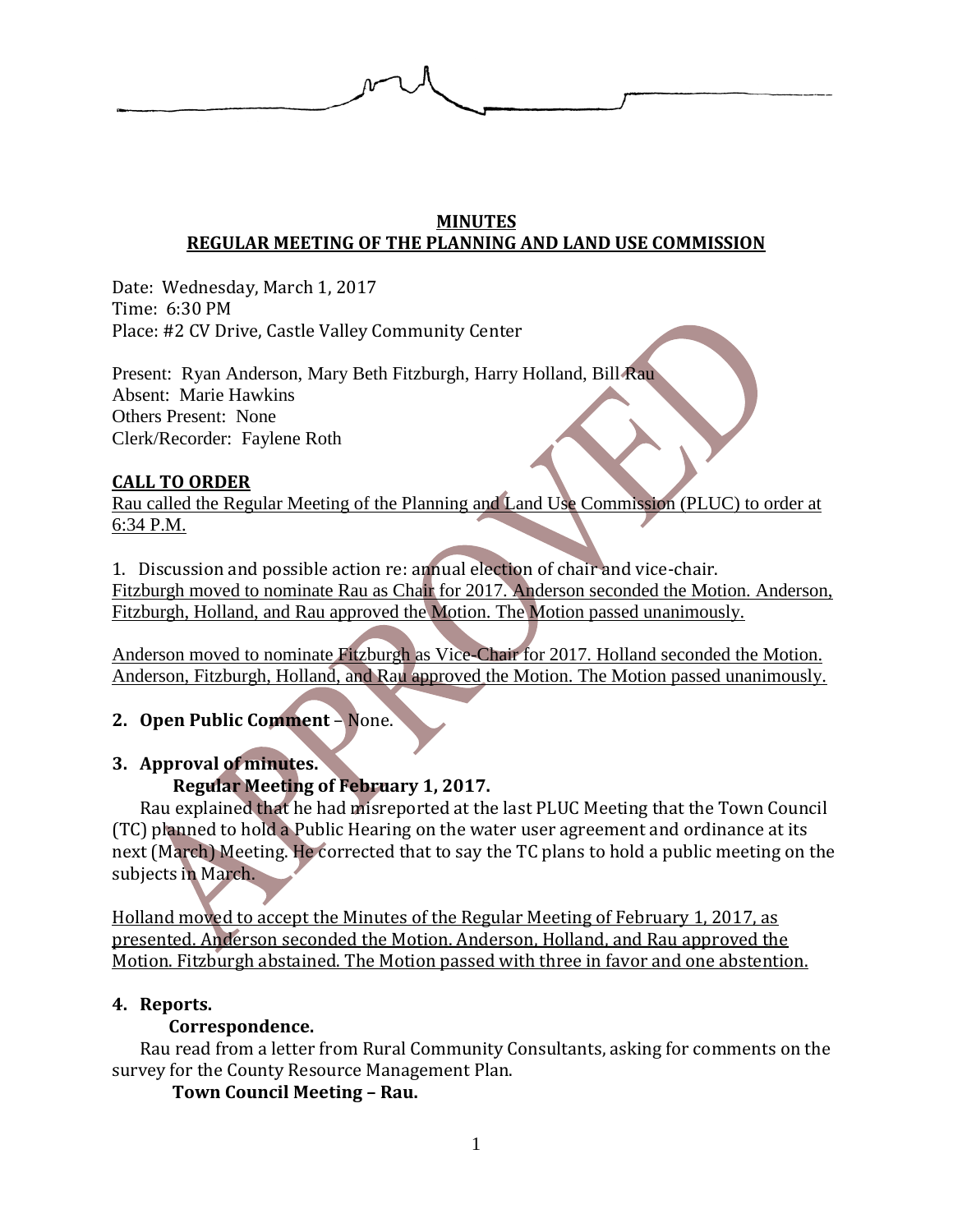

## **MINUTES REGULAR MEETING OF THE PLANNING AND LAND USE COMMISSION**

Date: Wednesday, March 1, 2017 Time: 6:30 PM Place: #2 CV Drive, Castle Valley Community Center

Present: Ryan Anderson, Mary Beth Fitzburgh, Harry Holland, Bill Rau Absent: Marie Hawkins Others Present: None Clerk/Recorder: Faylene Roth

## **CALL TO ORDER**

Rau called the Regular Meeting of the Planning and Land Use Commission (PLUC) to order at 6:34 P.M.

1. Discussion and possible action re: annual election of chair and vice-chair. Fitzburgh moved to nominate Rau as Chair for 2017. Anderson seconded the Motion. Anderson, Fitzburgh, Holland, and Rau approved the Motion. The Motion passed unanimously.

Anderson moved to nominate Fitzburgh as Vice-Chair for 2017. Holland seconded the Motion. Anderson, Fitzburgh, Holland, and Rau approved the Motion. The Motion passed unanimously.

## **2. Open Public Comment** – None.

### **3. Approval of minutes.**

## **Regular Meeting of February 1, 2017.**

Rau explained that he had misreported at the last PLUC Meeting that the Town Council (TC) planned to hold a Public Hearing on the water user agreement and ordinance at its next (March) Meeting. He corrected that to say the TC plans to hold a public meeting on the subjects in March.

Holland moved to accept the Minutes of the Regular Meeting of February 1, 2017, as presented. Anderson seconded the Motion. Anderson, Holland, and Rau approved the Motion. Fitzburgh abstained. The Motion passed with three in favor and one abstention.

### **4. Reports.**

### **Correspondence.**

Rau read from a letter from Rural Community Consultants, asking for comments on the survey for the County Resource Management Plan.

**Town Council Meeting – Rau.**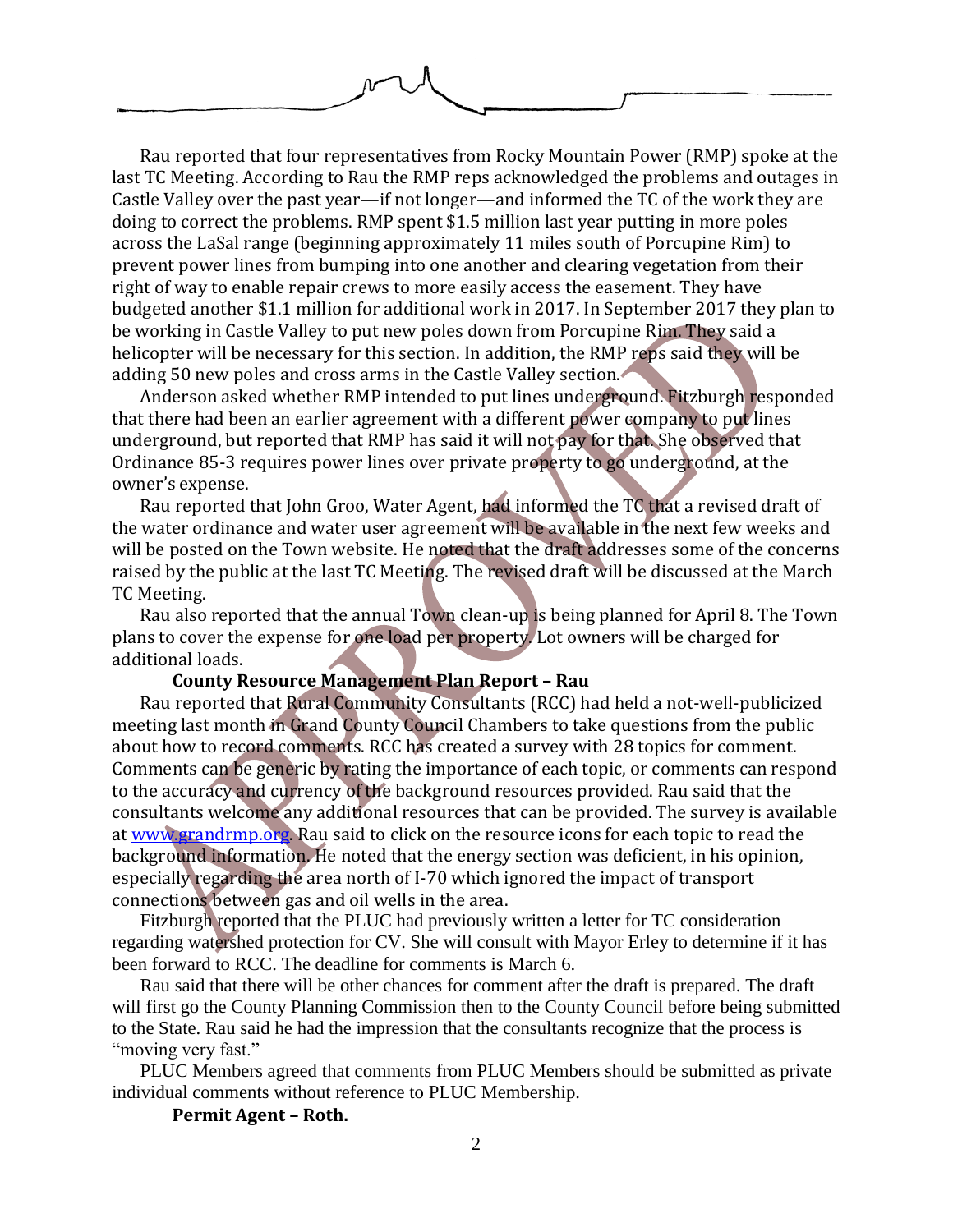Rau reported that four representatives from Rocky Mountain Power (RMP) spoke at the last TC Meeting. According to Rau the RMP reps acknowledged the problems and outages in Castle Valley over the past year—if not longer—and informed the TC of the work they are doing to correct the problems. RMP spent \$1.5 million last year putting in more poles across the LaSal range (beginning approximately 11 miles south of Porcupine Rim) to prevent power lines from bumping into one another and clearing vegetation from their right of way to enable repair crews to more easily access the easement. They have budgeted another \$1.1 million for additional work in 2017. In September 2017 they plan to be working in Castle Valley to put new poles down from Porcupine Rim. They said a helicopter will be necessary for this section. In addition, the RMP reps said they will be adding 50 new poles and cross arms in the Castle Valley section.

Anderson asked whether RMP intended to put lines underground. Fitzburgh responded that there had been an earlier agreement with a different power company to put lines underground, but reported that RMP has said it will not pay for that. She observed that Ordinance 85-3 requires power lines over private property to go underground, at the owner's expense.

Rau reported that John Groo, Water Agent, had informed the TC that a revised draft of the water ordinance and water user agreement will be available in the next few weeks and will be posted on the Town website. He noted that the draft addresses some of the concerns raised by the public at the last TC Meeting. The revised draft will be discussed at the March TC Meeting.

Rau also reported that the annual Town clean-up is being planned for April 8. The Town plans to cover the expense for one load per property. Lot owners will be charged for additional loads.

#### **County Resource Management Plan Report – Rau**

Rau reported that Rural Community Consultants (RCC) had held a not-well-publicized meeting last month in Grand County Council Chambers to take questions from the public about how to record comments. RCC has created a survey with 28 topics for comment. Comments can be generic by rating the importance of each topic, or comments can respond to the accuracy and currency of the background resources provided. Rau said that the consultants welcome any additional resources that can be provided. The survey is available at [www.grandrmp.org.](http://www.grandrmp.org/) Rau said to click on the resource icons for each topic to read the background information. He noted that the energy section was deficient, in his opinion, especially regarding the area north of I-70 which ignored the impact of transport connections between gas and oil wells in the area.

Fitzburgh reported that the PLUC had previously written a letter for TC consideration regarding watershed protection for CV. She will consult with Mayor Erley to determine if it has been forward to RCC. The deadline for comments is March 6.

Rau said that there will be other chances for comment after the draft is prepared. The draft will first go the County Planning Commission then to the County Council before being submitted to the State. Rau said he had the impression that the consultants recognize that the process is "moving very fast."

PLUC Members agreed that comments from PLUC Members should be submitted as private individual comments without reference to PLUC Membership.

**Permit Agent – Roth.**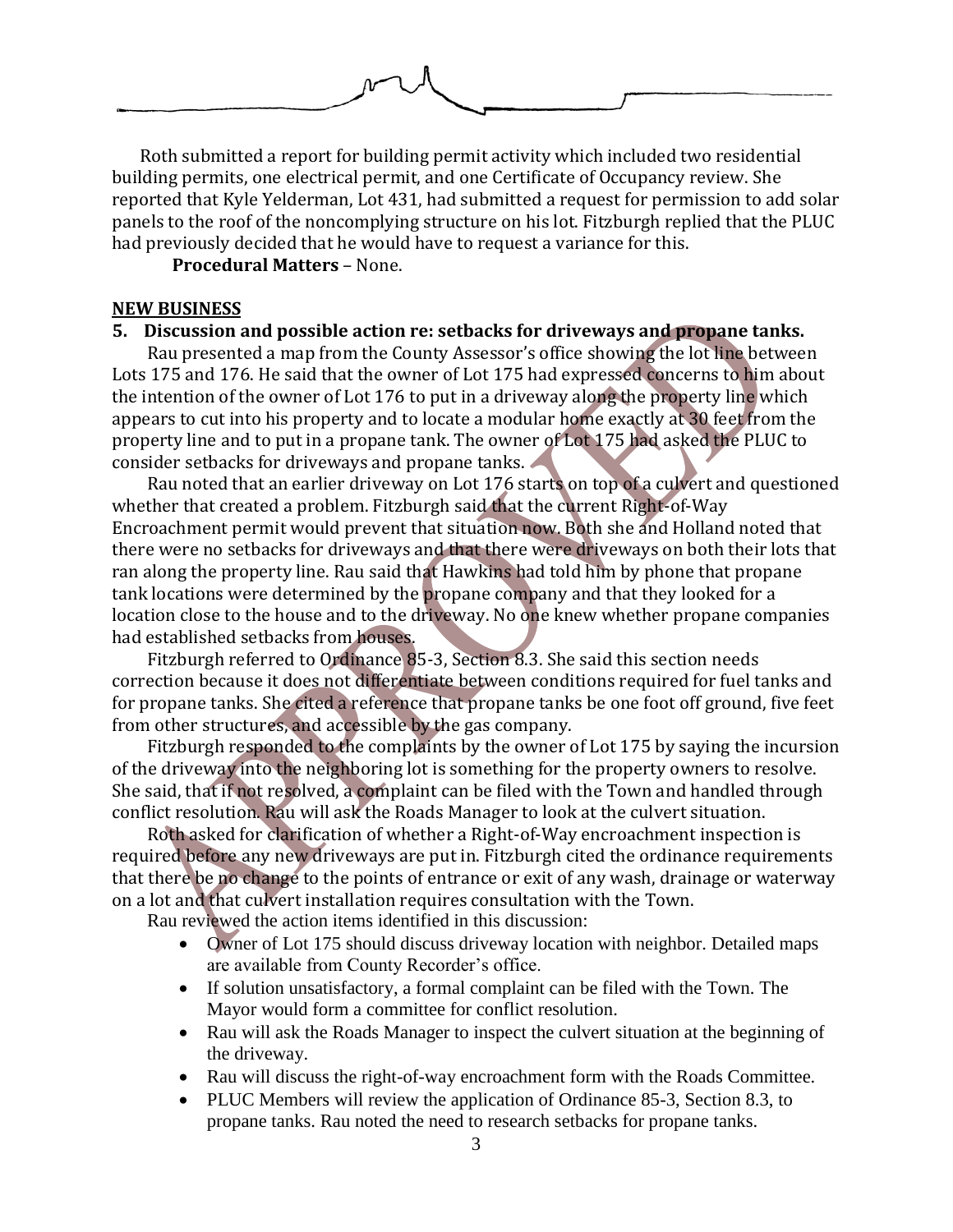

Roth submitted a report for building permit activity which included two residential building permits, one electrical permit, and one Certificate of Occupancy review. She reported that Kyle Yelderman, Lot 431, had submitted a request for permission to add solar panels to the roof of the noncomplying structure on his lot. Fitzburgh replied that the PLUC had previously decided that he would have to request a variance for this.

**Procedural Matters** – None.

### **NEW BUSINESS**

### **5. Discussion and possible action re: setbacks for driveways and propane tanks.**

Rau presented a map from the County Assessor's office showing the lot line between Lots 175 and 176. He said that the owner of Lot 175 had expressed concerns to him about the intention of the owner of Lot 176 to put in a driveway along the property line which appears to cut into his property and to locate a modular home exactly at 30 feet from the property line and to put in a propane tank. The owner of Lot 175 had asked the PLUC to consider setbacks for driveways and propane tanks.

Rau noted that an earlier driveway on Lot 176 starts on top of a culvert and questioned whether that created a problem. Fitzburgh said that the current Right-of-Way Encroachment permit would prevent that situation now. Both she and Holland noted that there were no setbacks for driveways and that there were driveways on both their lots that ran along the property line. Rau said that Hawkins had told him by phone that propane tank locations were determined by the propane company and that they looked for a location close to the house and to the driveway. No one knew whether propane companies had established setbacks from houses.

Fitzburgh referred to Ordinance 85-3, Section 8.3. She said this section needs correction because it does not differentiate between conditions required for fuel tanks and for propane tanks. She cited a reference that propane tanks be one foot off ground, five feet from other structures, and accessible by the gas company.

Fitzburgh responded to the complaints by the owner of Lot 175 by saying the incursion of the driveway into the neighboring lot is something for the property owners to resolve. She said, that if not resolved, a complaint can be filed with the Town and handled through conflict resolution. Rau will ask the Roads Manager to look at the culvert situation.

Roth asked for clarification of whether a Right-of-Way encroachment inspection is required before any new driveways are put in. Fitzburgh cited the ordinance requirements that there be no change to the points of entrance or exit of any wash, drainage or waterway on a lot and that culvert installation requires consultation with the Town.

Rau reviewed the action items identified in this discussion:

- Owner of Lot 175 should discuss driveway location with neighbor. Detailed maps are available from County Recorder's office.
- If solution unsatisfactory, a formal complaint can be filed with the Town. The Mayor would form a committee for conflict resolution.
- Rau will ask the Roads Manager to inspect the culvert situation at the beginning of the driveway.
- Rau will discuss the right-of-way encroachment form with the Roads Committee.
- PLUC Members will review the application of Ordinance 85-3, Section 8.3, to propane tanks. Rau noted the need to research setbacks for propane tanks.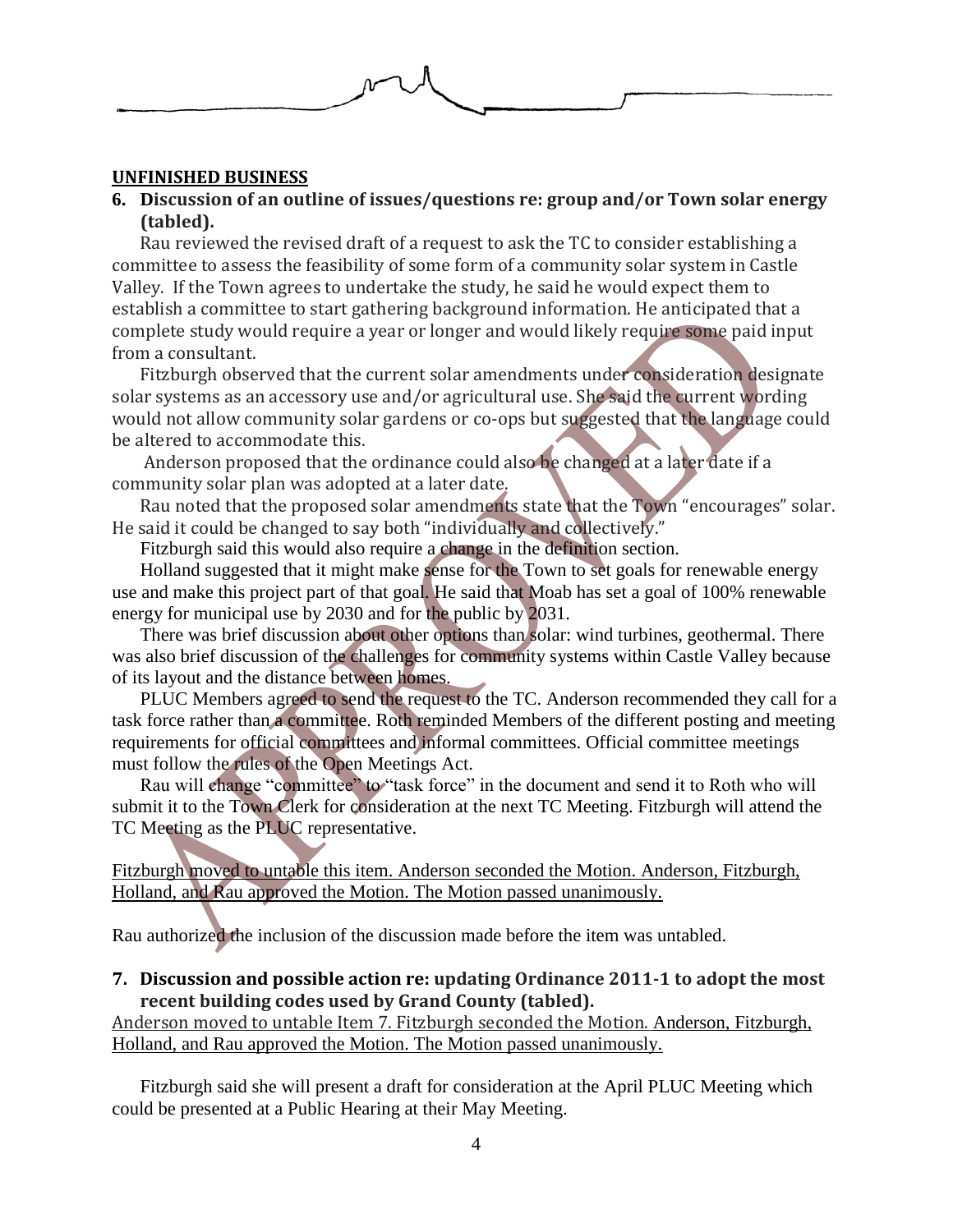

#### **UNFINISHED BUSINESS**

### **6. Discussion of an outline of issues/questions re: group and/or Town solar energy (tabled).**

Rau reviewed the revised draft of a request to ask the TC to consider establishing a committee to assess the feasibility of some form of a community solar system in Castle Valley. If the Town agrees to undertake the study, he said he would expect them to establish a committee to start gathering background information. He anticipated that a complete study would require a year or longer and would likely require some paid input from a consultant.

Fitzburgh observed that the current solar amendments under consideration designate solar systems as an accessory use and/or agricultural use. She said the current wording would not allow community solar gardens or co-ops but suggested that the language could be altered to accommodate this.

Anderson proposed that the ordinance could also be changed at a later date if a community solar plan was adopted at a later date.

Rau noted that the proposed solar amendments state that the Town "encourages" solar. He said it could be changed to say both "individually and collectively."

Fitzburgh said this would also require a change in the definition section.

Holland suggested that it might make sense for the Town to set goals for renewable energy use and make this project part of that goal. He said that Moab has set a goal of 100% renewable energy for municipal use by 2030 and for the public by 2031.

There was brief discussion about other options than solar: wind turbines, geothermal. There was also brief discussion of the challenges for community systems within Castle Valley because of its layout and the distance between homes.

PLUC Members agreed to send the request to the TC. Anderson recommended they call for a task force rather than a committee. Roth reminded Members of the different posting and meeting requirements for official committees and informal committees. Official committee meetings must follow the rules of the Open Meetings Act.

Rau will change "committee" to "task force" in the document and send it to Roth who will submit it to the Town Clerk for consideration at the next TC Meeting. Fitzburgh will attend the TC Meeting as the PLUC representative.

Fitzburgh moved to untable this item. Anderson seconded the Motion. Anderson, Fitzburgh, Holland, and Rau approved the Motion. The Motion passed unanimously.

Rau authorized the inclusion of the discussion made before the item was untabled.

#### **7. Discussion and possible action re: updating Ordinance 2011-1 to adopt the most recent building codes used by Grand County (tabled).**

Anderson moved to untable Item 7. Fitzburgh seconded the Motion. Anderson, Fitzburgh, Holland, and Rau approved the Motion. The Motion passed unanimously.

Fitzburgh said she will present a draft for consideration at the April PLUC Meeting which could be presented at a Public Hearing at their May Meeting.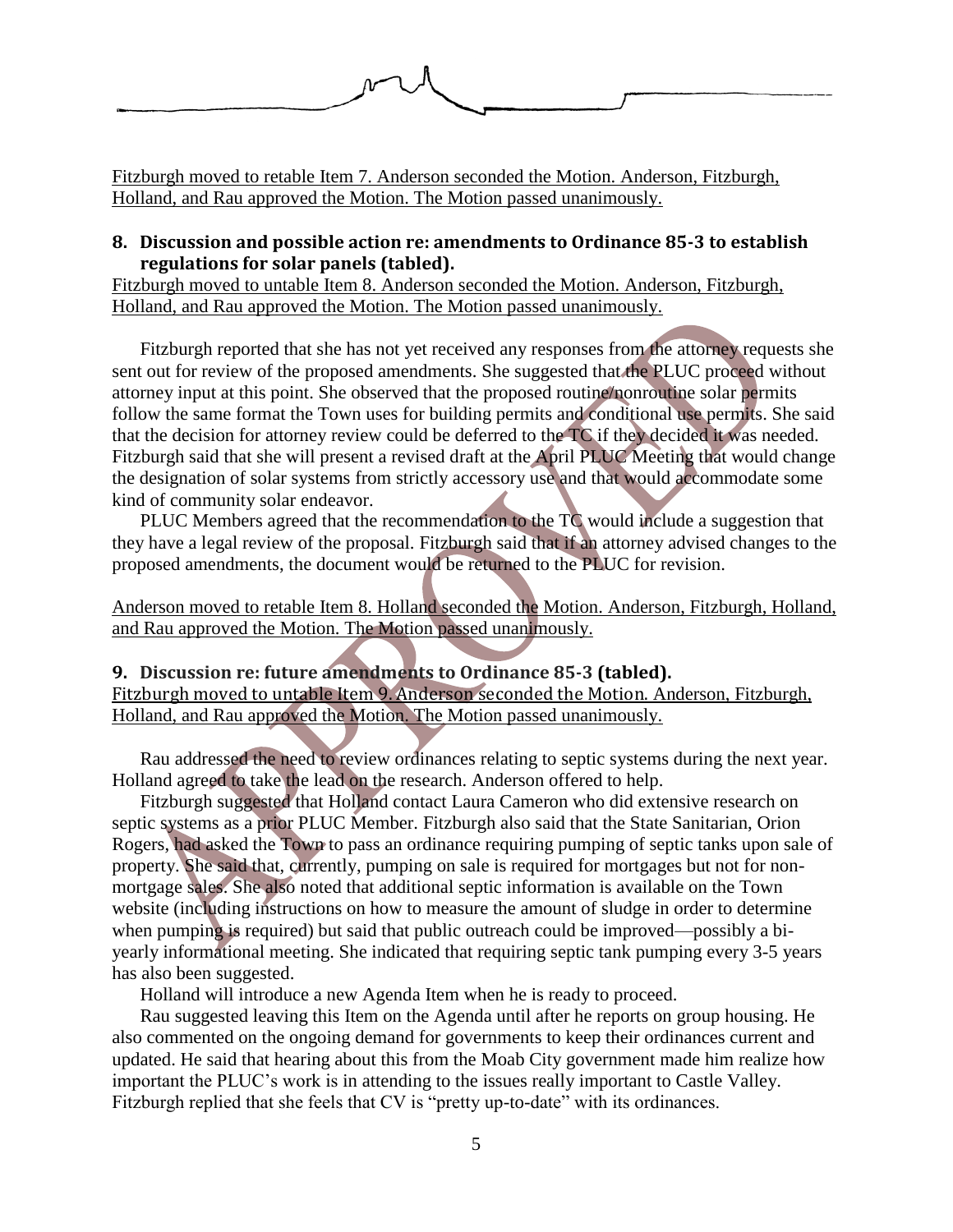

Fitzburgh moved to retable Item 7. Anderson seconded the Motion. Anderson, Fitzburgh, Holland, and Rau approved the Motion. The Motion passed unanimously.

### **8. Discussion and possible action re: amendments to Ordinance 85-3 to establish regulations for solar panels (tabled).**

Fitzburgh moved to untable Item 8. Anderson seconded the Motion. Anderson, Fitzburgh, Holland, and Rau approved the Motion. The Motion passed unanimously.

Fitzburgh reported that she has not yet received any responses from the attorney requests she sent out for review of the proposed amendments. She suggested that the PLUC proceed without attorney input at this point. She observed that the proposed routine/nonroutine solar permits follow the same format the Town uses for building permits and conditional use permits. She said that the decision for attorney review could be deferred to the TC if they decided it was needed. Fitzburgh said that she will present a revised draft at the April PLUC Meeting that would change the designation of solar systems from strictly accessory use and that would accommodate some kind of community solar endeavor.

PLUC Members agreed that the recommendation to the TC would include a suggestion that they have a legal review of the proposal. Fitzburgh said that if an attorney advised changes to the proposed amendments, the document would be returned to the PLUC for revision.

Anderson moved to retable Item 8. Holland seconded the Motion. Anderson, Fitzburgh, Holland, and Rau approved the Motion. The Motion passed unanimously.

**9. Discussion re: future amendments to Ordinance 85-3 (tabled).**  Fitzburgh moved to untable Item 9. Anderson seconded the Motion. Anderson, Fitzburgh, Holland, and Rau approved the Motion. The Motion passed unanimously.

Rau addressed the need to review ordinances relating to septic systems during the next year. Holland agreed to take the lead on the research. Anderson offered to help.

Fitzburgh suggested that Holland contact Laura Cameron who did extensive research on septic systems as a prior PLUC Member. Fitzburgh also said that the State Sanitarian, Orion Rogers, had asked the Town to pass an ordinance requiring pumping of septic tanks upon sale of property. She said that, currently, pumping on sale is required for mortgages but not for nonmortgage sales. She also noted that additional septic information is available on the Town website (including instructions on how to measure the amount of sludge in order to determine when pumping is required) but said that public outreach could be improved—possibly a biyearly informational meeting. She indicated that requiring septic tank pumping every 3-5 years has also been suggested.

Holland will introduce a new Agenda Item when he is ready to proceed.

Rau suggested leaving this Item on the Agenda until after he reports on group housing. He also commented on the ongoing demand for governments to keep their ordinances current and updated. He said that hearing about this from the Moab City government made him realize how important the PLUC's work is in attending to the issues really important to Castle Valley. Fitzburgh replied that she feels that CV is "pretty up-to-date" with its ordinances.